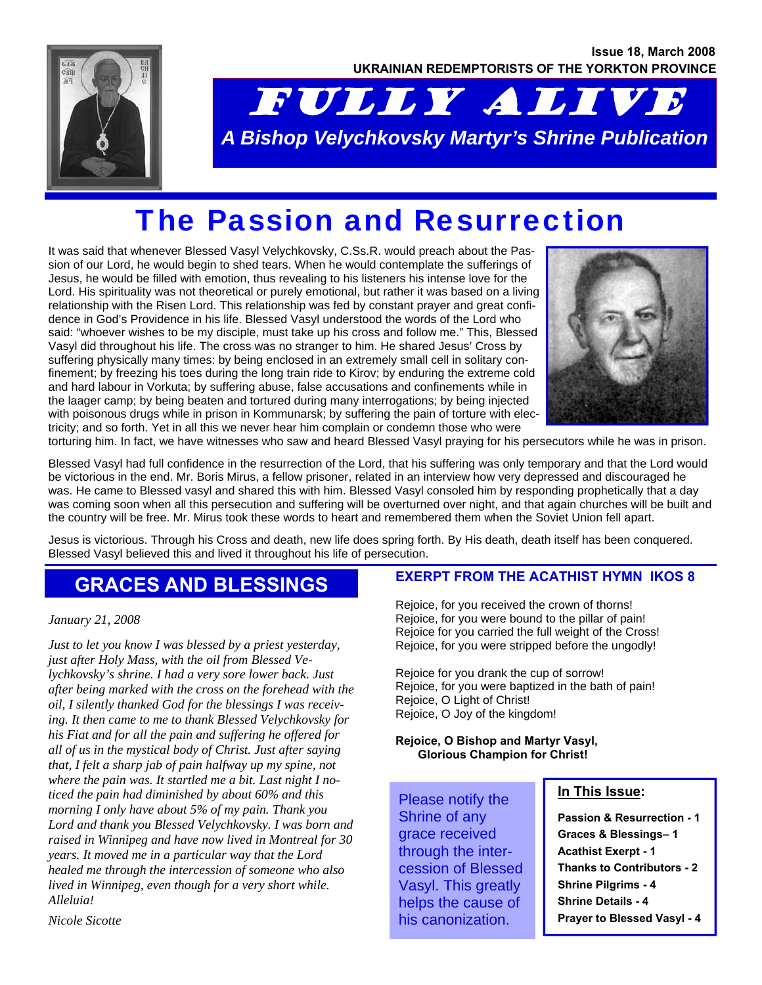

# FULLY ALIVE *A Bishop Velychkovsky Martyr's Shrine Publication*

## The Passion and Resurrection

It was said that whenever Blessed Vasyl Velychkovsky, C.Ss.R. would preach about the Passion of our Lord, he would begin to shed tears. When he would contemplate the sufferings of Jesus, he would be filled with emotion, thus revealing to his listeners his intense love for the Lord. His spirituality was not theoretical or purely emotional, but rather it was based on a living relationship with the Risen Lord. This relationship was fed by constant prayer and great confidence in God's Providence in his life. Blessed Vasyl understood the words of the Lord who said: "whoever wishes to be my disciple, must take up his cross and follow me." This, Blessed Vasyl did throughout his life. The cross was no stranger to him. He shared Jesus' Cross by suffering physically many times: by being enclosed in an extremely small cell in solitary confinement; by freezing his toes during the long train ride to Kirov; by enduring the extreme cold and hard labour in Vorkuta; by suffering abuse, false accusations and confinements while in the laager camp; by being beaten and tortured during many interrogations; by being injected with poisonous drugs while in prison in Kommunarsk; by suffering the pain of torture with electricity; and so forth. Yet in all this we never hear him complain or condemn those who were



torturing him. In fact, we have witnesses who saw and heard Blessed Vasyl praying for his persecutors while he was in prison.

Blessed Vasyl had full confidence in the resurrection of the Lord, that his suffering was only temporary and that the Lord would be victorious in the end. Mr. Boris Mirus, a fellow prisoner, related in an interview how very depressed and discouraged he was. He came to Blessed vasyl and shared this with him. Blessed Vasyl consoled him by responding prophetically that a day was coming soon when all this persecution and suffering will be overturned over night, and that again churches will be built and the country will be free. Mr. Mirus took these words to heart and remembered them when the Soviet Union fell apart.

Jesus is victorious. Through his Cross and death, new life does spring forth. By His death, death itself has been conquered. Blessed Vasyl believed this and lived it throughout his life of persecution.

## **GRACES AND BLESSINGS**

*January 21, 2008* 

*Just to let you know I was blessed by a priest yesterday, just after Holy Mass, with the oil from Blessed Velychkovsky's shrine. I had a very sore lower back. Just after being marked with the cross on the forehead with the oil, I silently thanked God for the blessings I was receiving. It then came to me to thank Blessed Velychkovsky for his Fiat and for all the pain and suffering he offered for all of us in the mystical body of Christ. Just after saying that, I felt a sharp jab of pain halfway up my spine, not where the pain was. It startled me a bit. Last night I noticed the pain had diminished by about 60% and this morning I only have about 5% of my pain. Thank you Lord and thank you Blessed Velychkovsky. I was born and raised in Winnipeg and have now lived in Montreal for 30 years. It moved me in a particular way that the Lord healed me through the intercession of someone who also lived in Winnipeg, even though for a very short while. Alleluia!* 

**EXERPT FROM THE ACATHIST HYMN IKOS 8** 

Rejoice, for you received the crown of thorns! Rejoice, for you were bound to the pillar of pain! Rejoice for you carried the full weight of the Cross! Rejoice, for you were stripped before the ungodly!

Rejoice for you drank the cup of sorrow! Rejoice, for you were baptized in the bath of pain! Rejoice, O Light of Christ! Rejoice, O Joy of the kingdom!

**Rejoice, O Bishop and Martyr Vasyl, Glorious Champion for Christ!** 

Please notify the Shrine of any grace received through the intercession of Blessed Vasyl. This greatly helps the cause of his canonization.

### **In This Issue:**

**Passion & Resurrection - 1 Graces & Blessings– 1 Acathist Exerpt - 1 Thanks to Contributors - 2 Shrine Pilgrims - 4 Shrine Details - 4 Prayer to Blessed Vasyl - 4**

*Nicole Sicotte*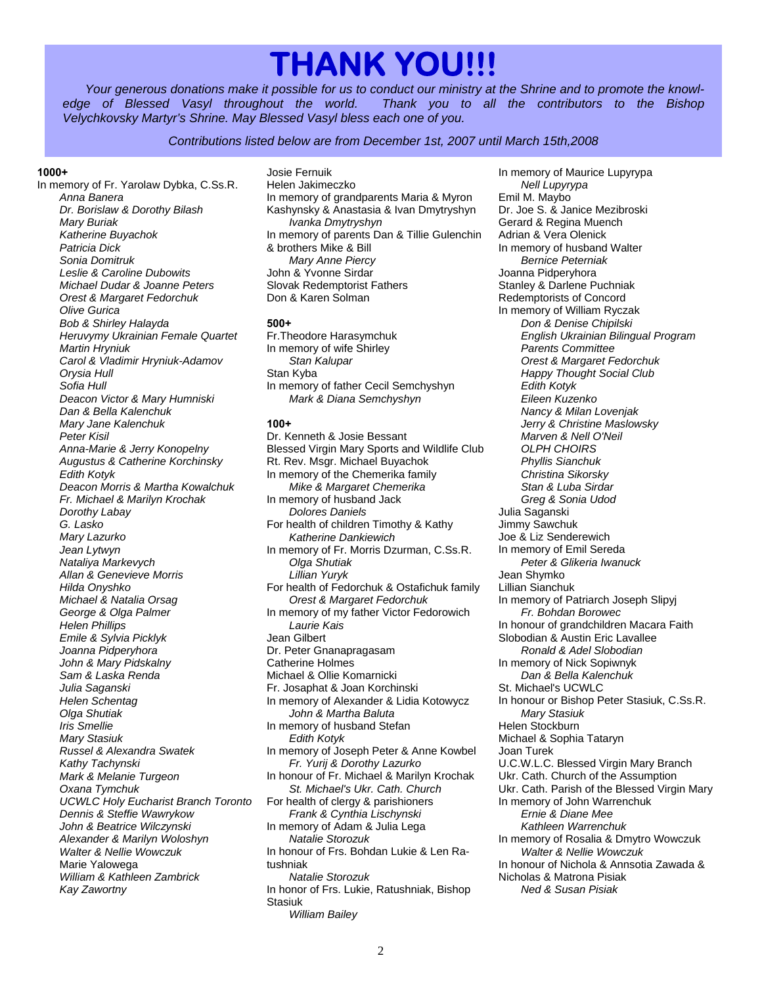## **THANK YOU!!!**

*Your generous donations make it possible for us to conduct our ministry at the Shrine and to promote the knowl-*Thank you to all the contributors to the Bishop *Velychkovsky Martyr's Shrine. May Blessed Vasyl bless each one of you.* 

*Contributions listed below are from December 1st, 2007 until March 15th,2008* 

#### **1000+**

In memory of Fr. Yarolaw Dybka, C.Ss.R.  *Anna Banera Dr. Borislaw & Dorothy Bilash Mary Buriak Katherine Buyachok Patricia Dick Sonia Domitruk Leslie & Caroline Dubowits Michael Dudar & Joanne Peters Orest & Margaret Fedorchuk Olive Gurica Bob & Shirley Halayda Heruvymy Ukrainian Female Quartet Martin Hryniuk Carol & Vladimir Hryniuk-Adamov Orysia Hull Sofia Hull Deacon Victor & Mary Humniski Dan & Bella Kalenchuk Mary Jane Kalenchuk Peter Kisil Anna-Marie & Jerry Konopelny Augustus & Catherine Korchinsky Edith Kotyk Deacon Morris & Martha Kowalchuk Fr. Michael & Marilyn Krochak Dorothy Labay G. Lasko Mary Lazurko Jean Lytwyn Nataliya Markevych Allan & Genevieve Morris Hilda Onyshko Michael & Natalia Orsag George & Olga Palmer Helen Phillips Emile & Sylvia Picklyk Joanna Pidperyhora John & Mary Pidskalny Sam & Laska Renda Julia Saganski Helen Schentag Olga Shutiak Iris Smellie Mary Stasiuk Russel & Alexandra Swatek Kathy Tachynski Mark & Melanie Turgeon Oxana Tymchuk UCWLC Holy Eucharist Branch Toronto Dennis & Steffie Wawrykow John & Beatrice Wilczynski Alexander & Marilyn Woloshyn Walter & Nellie Wowczuk*  Marie Yalowega *William & Kathleen Zambrick Kay Zawortny* 

Josie Fernuik Helen Jakimeczko In memory of grandparents Maria & Myron Kashynsky & Anastasia & Ivan Dmytryshyn *Ivanka Dmytryshyn*  In memory of parents Dan & Tillie Gulenchin & brothers Mike & Bill *Mary Anne Piercy*  John & Yvonne Sirdar Slovak Redemptorist Fathers Don & Karen Solman

#### **500+**

Fr.Theodore Harasymchuk In memory of wife Shirley *Stan Kalupar*  Stan Kyba In memory of father Cecil Semchyshyn *Mark & Diana Semchyshyn* 

#### **100+**

Dr. Kenneth & Josie Bessant Blessed Virgin Mary Sports and Wildlife Club Rt. Rev. Msgr. Michael Buyachok In memory of the Chemerika family *Mike & Margaret Chemerika*  In memory of husband Jack *Dolores Daniels*  For health of children Timothy & Kathy *Katherine Dankiewich*  In memory of Fr. Morris Dzurman, C.Ss.R. *Olga Shutiak Lillian Yuryk*  For health of Fedorchuk & Ostafichuk family *Orest & Margaret Fedorchuk*  In memory of my father Victor Fedorowich *Laurie Kais*  Jean Gilbert Dr. Peter Gnanapragasam Catherine Holmes Michael & Ollie Komarnicki Fr. Josaphat & Joan Korchinski In memory of Alexander & Lidia Kotowycz *John & Martha Baluta*  In memory of husband Stefan *Edith Kotyk*  In memory of Joseph Peter & Anne Kowbel *Fr. Yurij & Dorothy Lazurko*  In honour of Fr. Michael & Marilyn Krochak *St. Michael's Ukr. Cath. Church*  For health of clergy & parishioners *Frank & Cynthia Lischynski*  In memory of Adam & Julia Lega *Natalie Storozuk*  In honour of Frs. Bohdan Lukie & Len Ratushniak *Natalie Storozuk*  In honor of Frs. Lukie, Ratushniak, Bishop Stasiuk *William Bailey* 

In memory of Maurice Lupyrypa *Nell Lupyrypa*  Emil M. Maybo Dr. Joe S. & Janice Mezibroski Gerard & Regina Muench Adrian & Vera Olenick In memory of husband Walter *Bernice Peterniak*  Joanna Pidperyhora Stanley & Darlene Puchniak Redemptorists of Concord In memory of William Ryczak *Don & Denise Chipilski English Ukrainian Bilingual Program Parents Committee Orest & Margaret Fedorchuk Happy Thought Social Club Edith Kotyk Eileen Kuzenko Nancy & Milan Lovenjak Jerry & Christine Maslowsky Marven & Nell O'Neil OLPH CHOIRS Phyllis Sianchuk Christina Sikorsky Stan & Luba Sirdar Greg & Sonia Udod*  Julia Saganski Jimmy Sawchuk Joe & Liz Senderewich In memory of Emil Sereda *Peter & Glikeria Iwanuck*  Jean Shymko Lillian Sianchuk In memory of Patriarch Joseph Slipyj *Fr. Bohdan Borowec*  In honour of grandchildren Macara Faith Slobodian & Austin Eric Lavallee *Ronald & Adel Slobodian*  In memory of Nick Sopiwnyk  *Dan & Bella Kalenchuk*  St. Michael's UCWLC In honour or Bishop Peter Stasiuk, C.Ss.R.  *Mary Stasiuk*  Helen Stockburn Michael & Sophia Tataryn Joan Turek U.C.W.L.C. Blessed Virgin Mary Branch Ukr. Cath. Church of the Assumption Ukr. Cath. Parish of the Blessed Virgin Mary In memory of John Warrenchuk *Ernie & Diane Mee Kathleen Warrenchuk*  In memory of Rosalia & Dmytro Wowczuk *Walter & Nellie Wowczuk*  In honour of Nichola & Annsotia Zawada & Nicholas & Matrona Pisiak *Ned & Susan Pisiak*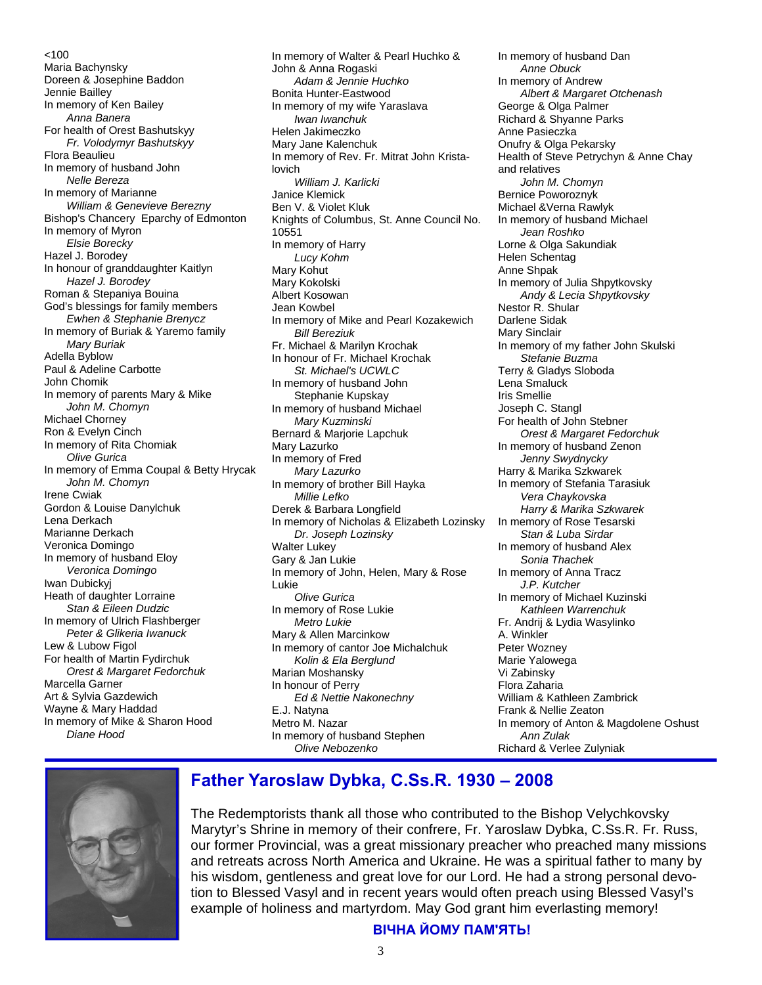<100 Maria Bachynsky Doreen & Josephine Baddon Jennie Bailley In memory of Ken Bailey *Anna Banera*  For health of Orest Bashutskyy *Fr. Volodymyr Bashutskyy*  Flora Beaulieu In memory of husband John *Nelle Bereza*  In memory of Marianne *William & Genevieve Berezny*  Bishop's Chancery Eparchy of Edmonton In memory of Myron *Elsie Borecky*  Hazel J. Borodey In honour of granddaughter Kaitlyn *Hazel J. Borodey*  Roman & Stepaniya Bouina God's blessings for family members *Ewhen & Stephanie Brenycz*  In memory of Buriak & Yaremo family *Mary Buriak*  Adella Byblow Paul & Adeline Carbotte John Chomik In memory of parents Mary & Mike *John M. Chomyn*  Michael Chorney Ron & Evelyn Cinch In memory of Rita Chomiak *Olive Gurica*  In memory of Emma Coupal & Betty Hrycak *John M. Chomyn*  Irene Cwiak Gordon & Louise Danylchuk Lena Derkach Marianne Derkach Veronica Domingo In memory of husband Eloy *Veronica Domingo*  Iwan Dubickyj Heath of daughter Lorraine *Stan & Eileen Dudzic*  In memory of Ulrich Flashberger *Peter & Glikeria Iwanuck*  Lew & Lubow Figol For health of Martin Fydirchuk *Orest & Margaret Fedorchuk*  Marcella Garner Art & Sylvia Gazdewich Wayne & Mary Haddad In memory of Mike & Sharon Hood *Diane Hood* 

In memory of Walter & Pearl Huchko & John & Anna Rogaski *Adam & Jennie Huchko*  Bonita Hunter-Eastwood In memory of my wife Yaraslava *Iwan Iwanchuk*  Helen Jakimeczko Mary Jane Kalenchuk In memory of Rev. Fr. Mitrat John Kristalovich *William J. Karlicki*  Janice Klemick Ben V. & Violet Kluk Knights of Columbus, St. Anne Council No. 10551 In memory of Harry *Lucy Kohm*  Mary Kohut Mary Kokolski Albert Kosowan Jean Kowbel In memory of Mike and Pearl Kozakewich *Bill Bereziuk*  Fr. Michael & Marilyn Krochak In honour of Fr. Michael Krochak *St. Michael's UCWLC*  In memory of husband John Stephanie Kupskay In memory of husband Michael *Mary Kuzminski*  Bernard & Marjorie Lapchuk Mary Lazurko In memory of Fred *Mary Lazurko*  In memory of brother Bill Hayka *Millie Lefko*  Derek & Barbara Longfield In memory of Nicholas & Elizabeth Lozinsky *Dr. Joseph Lozinsky*  Walter Lukey Gary & Jan Lukie In memory of John, Helen, Mary & Rose Lukie  *Olive Gurica*  In memory of Rose Lukie *Metro Lukie*  Mary & Allen Marcinkow In memory of cantor Joe Michalchuk *Kolin & Ela Berglund*  Marian Moshansky In honour of Perry *Ed & Nettie Nakonechny*  E.J. Natyna Metro M. Nazar In memory of husband Stephen *Olive Nebozenko* 

In memory of husband Dan *Anne Obuck*  In memory of Andrew *Albert & Margaret Otchenash*  George & Olga Palmer Richard & Shyanne Parks Anne Pasieczka Onufry & Olga Pekarsky Health of Steve Petrychyn & Anne Chay and relatives *John M. Chomyn*  Bernice Poworoznyk Michael &Verna Rawlyk In memory of husband Michael *Jean Roshko*  Lorne & Olga Sakundiak Helen Schentag Anne Shpak In memory of Julia Shpytkovsky *Andy & Lecia Shpytkovsky*  Nestor R. Shular Darlene Sidak Mary Sinclair In memory of my father John Skulski *Stefanie Buzma*  Terry & Gladys Sloboda Lena Smaluck Iris Smellie Joseph C. Stangl For health of John Stebner *Orest & Margaret Fedorchuk*  In memory of husband Zenon *Jenny Swydnycky*  Harry & Marika Szkwarek In memory of Stefania Tarasiuk *Vera Chaykovska Harry & Marika Szkwarek*  In memory of Rose Tesarski *Stan & Luba Sirdar*  In memory of husband Alex *Sonia Thachek*  In memory of Anna Tracz *J.P. Kutcher*  In memory of Michael Kuzinski *Kathleen Warrenchuk*  Fr. Andrij & Lydia Wasylinko A. Winkler Peter Wozney Marie Yalowega Vi Zabinsky Flora Zaharia William & Kathleen Zambrick Frank & Nellie Zeaton In memory of Anton & Magdolene Oshust *Ann Zulak*  Richard & Verlee Zulyniak



## **Father Yaroslaw Dybka, C.Ss.R. 1930 – 2008**

The Redemptorists thank all those who contributed to the Bishop Velychkovsky Marytyr's Shrine in memory of their confrere, Fr. Yaroslaw Dybka, C.Ss.R. Fr. Russ, our former Provincial, was a great missionary preacher who preached many missions and retreats across North America and Ukraine. He was a spiritual father to many by his wisdom, gentleness and great love for our Lord. He had a strong personal devotion to Blessed Vasyl and in recent years would often preach using Blessed Vasyl's example of holiness and martyrdom. May God grant him everlasting memory!

#### **ВІЧНА ЙОМУ ПАМ'ЯТЬ!**